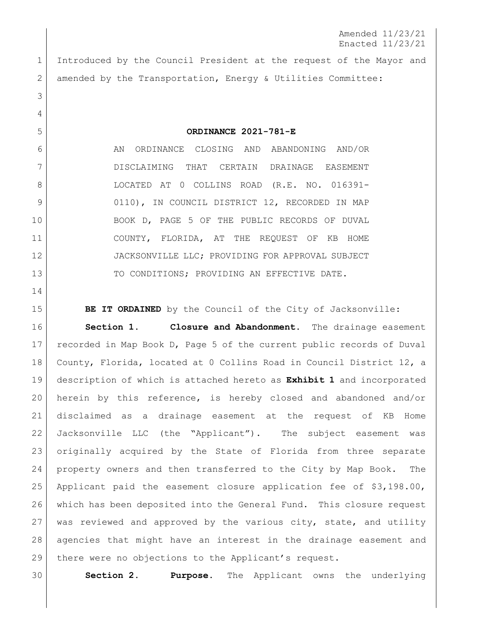Amended 11/23/21 Enacted 11/23/21

 Introduced by the Council President at the request of the Mayor and 2 amended by the Transportation, Energy & Utilities Committee:

**ORDINANCE 2021-781-E**

6 AN ORDINANCE CLOSING AND ABANDONING AND/OR DISCLAIMING THAT CERTAIN DRAINAGE EASEMENT 8 LOCATED AT 0 COLLINS ROAD (R.E. NO. 016391-9 0110), IN COUNCIL DISTRICT 12, RECORDED IN MAP BOOK D, PAGE 5 OF THE PUBLIC RECORDS OF DUVAL COUNTY, FLORIDA, AT THE REQUEST OF KB HOME 12 JACKSONVILLE LLC; PROVIDING FOR APPROVAL SUBJECT 13 TO CONDITIONS; PROVIDING AN EFFECTIVE DATE.

**BE IT ORDAINED** by the Council of the City of Jacksonville:

 **Section 1. Closure and Abandonment.** The drainage easement recorded in Map Book D, Page 5 of the current public records of Duval County, Florida, located at 0 Collins Road in Council District 12, a description of which is attached hereto as **Exhibit 1** and incorporated herein by this reference, is hereby closed and abandoned and/or disclaimed as a drainage easement at the request of KB Home Jacksonville LLC (the "Applicant"). The subject easement was originally acquired by the State of Florida from three separate property owners and then transferred to the City by Map Book. The Applicant paid the easement closure application fee of \$3,198.00, which has been deposited into the General Fund. This closure request was reviewed and approved by the various city, state, and utility agencies that might have an interest in the drainage easement and there were no objections to the Applicant's request.

**Section 2. Purpose.** The Applicant owns the underlying